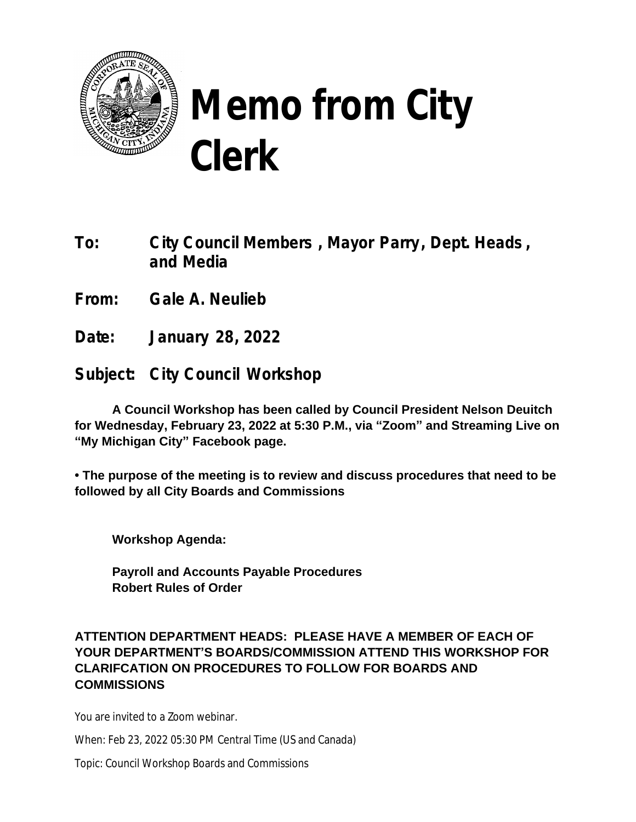

## **Memo from City Clerk**

**To: City Council Members , Mayor Parry, Dept. Heads , and Media**

**From: Gale A. Neulieb**

**Date: January 28, 2022**

**Subject: City Council Workshop**

**A Council Workshop has been called by Council President Nelson Deuitch for Wednesday, February 23, 2022 at 5:30 P.M., via "Zoom" and Streaming Live on "My Michigan City" Facebook page.**

**• The purpose of the meeting is to review and discuss procedures that need to be followed by all City Boards and Commissions**

**Workshop Agenda:**

**Payroll and Accounts Payable Procedures Robert Rules of Order**

## **ATTENTION DEPARTMENT HEADS: PLEASE HAVE A MEMBER OF EACH OF YOUR DEPARTMENT'S BOARDS/COMMISSION ATTEND THIS WORKSHOP FOR CLARIFCATION ON PROCEDURES TO FOLLOW FOR BOARDS AND COMMISSIONS**

You are invited to a Zoom webinar.

When: Feb 23, 2022 05:30 PM Central Time (US and Canada)

Topic: Council Workshop Boards and Commissions